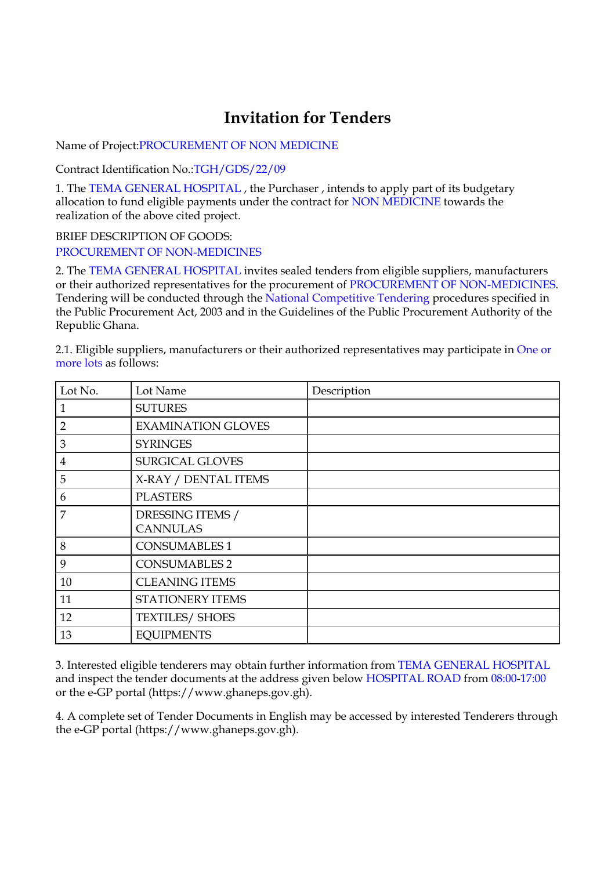## **Invitation for Tenders**

Name of Project:PROCUREMENT OF NON MEDICINE

Contract Identification No.:TGH/GDS/22/09

1. The TEMA GENERAL HOSPITAL , the Purchaser , intends to apply part of its budgetary allocation to fund eligible payments under the contract for NON MEDICINE towards the realization of the above cited project.

BRIEF DESCRIPTION OF GOODS: PROCUREMENT OF NON-MEDICINES

2. The TEMA GENERAL HOSPITAL invites sealed tenders from eligible suppliers, manufacturers or their authorized representatives for the procurement of PROCUREMENT OF NON-MEDICINES. Tendering will be conducted through the National Competitive Tendering procedures specified in the Public Procurement Act, 2003 and in the Guidelines of the Public Procurement Authority of the Republic Ghana.

2.1. Eligible suppliers, manufacturers or their authorized representatives may participate in One or more lots as follows:

| Lot No.        | Lot Name                            | Description |
|----------------|-------------------------------------|-------------|
|                | <b>SUTURES</b>                      |             |
| $\overline{2}$ | <b>EXAMINATION GLOVES</b>           |             |
| 3              | <b>SYRINGES</b>                     |             |
| 4              | SURGICAL GLOVES                     |             |
| 5              | X-RAY / DENTAL ITEMS                |             |
| 6              | <b>PLASTERS</b>                     |             |
| 7              | DRESSING ITEMS /<br><b>CANNULAS</b> |             |
| 8              | <b>CONSUMABLES 1</b>                |             |
| 9              | <b>CONSUMABLES 2</b>                |             |
| 10             | <b>CLEANING ITEMS</b>               |             |
| 11             | STATIONERY ITEMS                    |             |
| 12             | <b>TEXTILES/ SHOES</b>              |             |
| 13             | <b>EQUIPMENTS</b>                   |             |

3. Interested eligible tenderers may obtain further information from TEMA GENERAL HOSPITAL and inspect the tender documents at the address given below HOSPITAL ROAD from 08:00-17:00 or the e-GP portal (https://www.ghaneps.gov.gh).

4. A complete set of Tender Documents in English may be accessed by interested Tenderers through the e-GP portal (https://www.ghaneps.gov.gh).